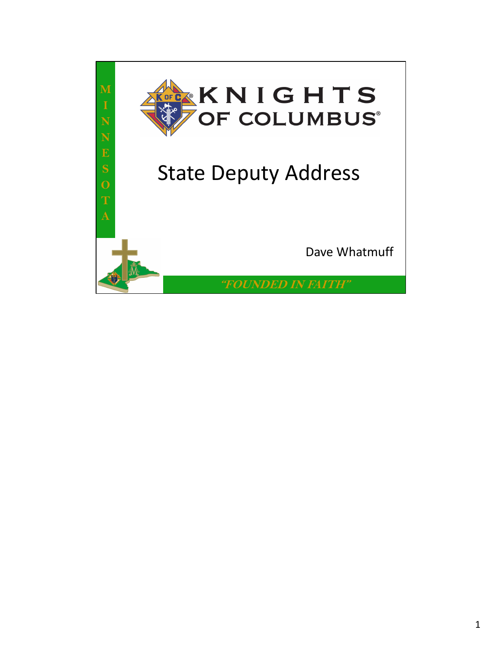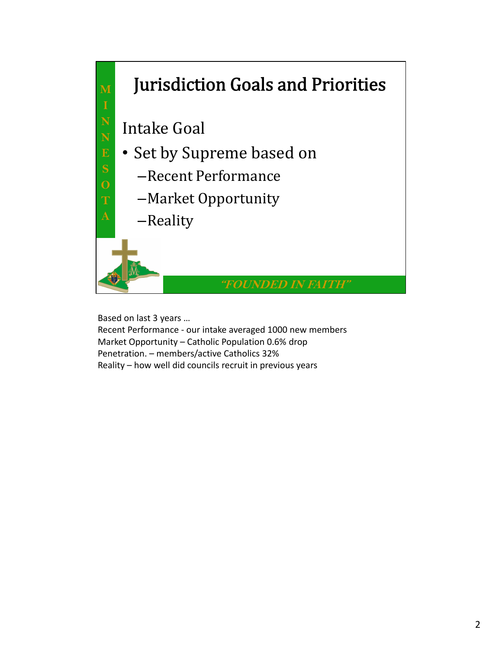

Based on last 3 years …

Recent Performance ‐ our intake averaged 1000 new members Market Opportunity – Catholic Population 0.6% drop Penetration. – members/active Catholics 32% Reality – how well did councils recruit in previous years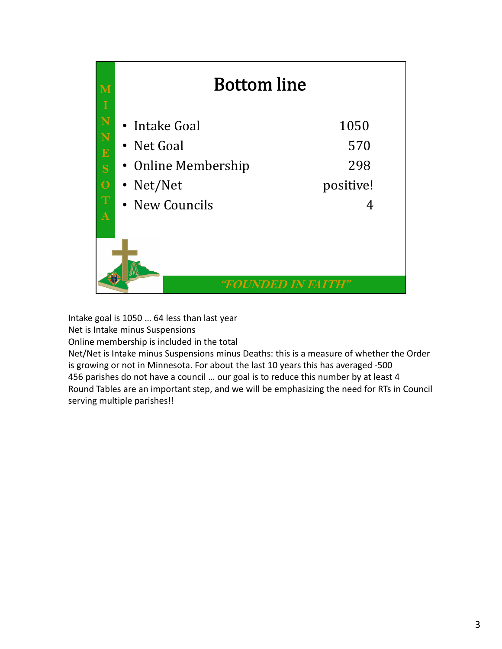

Intake goal is 1050 … 64 less than last year Net is Intake minus Suspensions

Online membership is included in the total

Net/Net is Intake minus Suspensions minus Deaths: this is a measure of whether the Order is growing or not in Minnesota. For about the last 10 years this has averaged ‐500 456 parishes do not have a council … our goal is to reduce this number by at least 4 Round Tables are an important step, and we will be emphasizing the need for RTs in Council serving multiple parishes!!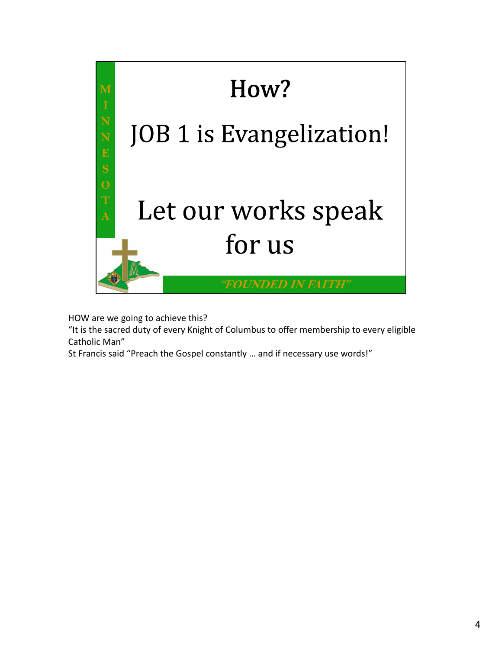

HOW are we going to achieve this?

"It is the sacred duty of every Knight of Columbus to offer membership to every eligible Catholic Man"

St Francis said "Preach the Gospel constantly … and if necessary use words!"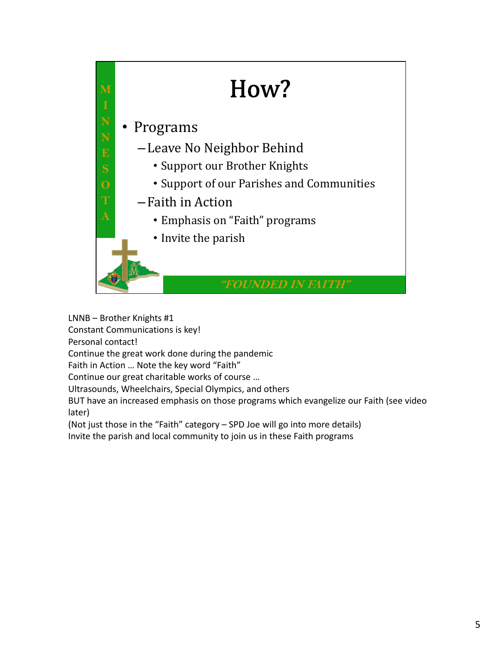

LNNB – Brother Knights #1

Constant Communications is key!

Personal contact!

Continue the great work done during the pandemic

Faith in Action … Note the key word "Faith"

Continue our great charitable works of course …

Ultrasounds, Wheelchairs, Special Olympics, and others

BUT have an increased emphasis on those programs which evangelize our Faith (see video later)

(Not just those in the "Faith" category – SPD Joe will go into more details)

Invite the parish and local community to join us in these Faith programs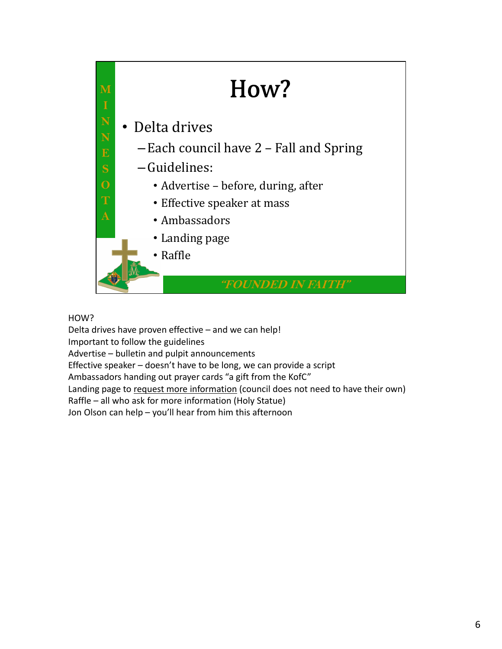

## HOW?

Delta drives have proven effective – and we can help! Important to follow the guidelines Advertise – bulletin and pulpit announcements Effective speaker – doesn't have to be long, we can provide a script Ambassadors handing out prayer cards "a gift from the KofC" Landing page to request more information (council does not need to have their own) Raffle – all who ask for more information (Holy Statue) Jon Olson can help – you'll hear from him this afternoon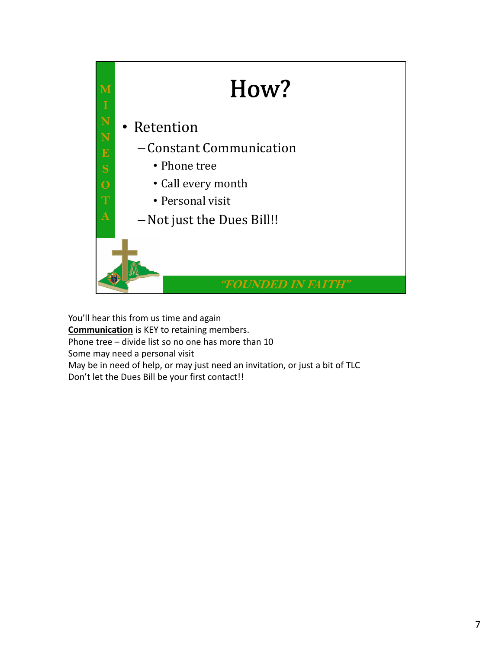

You'll hear this from us time and again **Communication** is KEY to retaining members. Phone tree – divide list so no one has more than 10 Some may need a personal visit May be in need of help, or may just need an invitation, or just a bit of TLC Don't let the Dues Bill be your first contact!!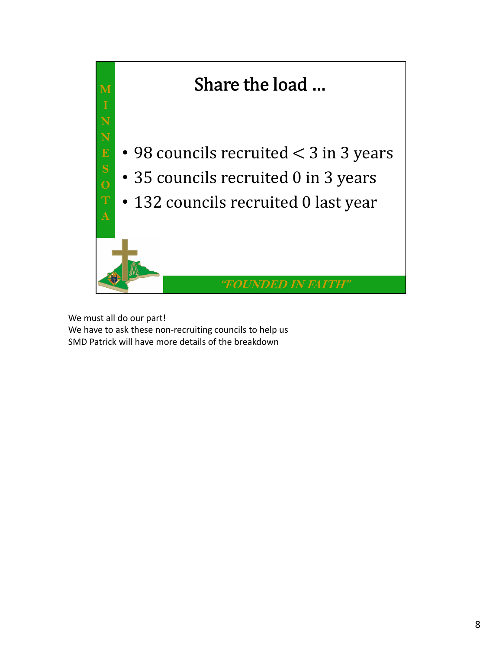

We must all do our part! We have to ask these non-recruiting councils to help us SMD Patrick will have more details of the breakdown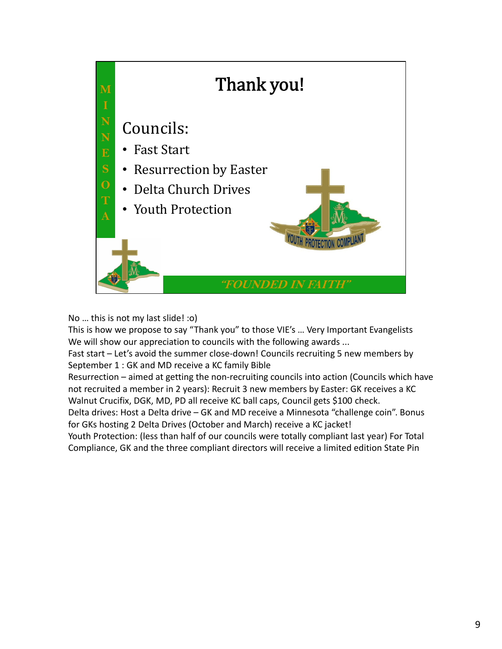

No … this is not my last slide! :o)

This is how we propose to say "Thank you" to those VIE's … Very Important Evangelists We will show our appreciation to councils with the following awards ...

Fast start – Let's avoid the summer close-down! Councils recruiting 5 new members by September 1 : GK and MD receive a KC family Bible

Resurrection – aimed at getting the non-recruiting councils into action (Councils which have not recruited a member in 2 years): Recruit 3 new members by Easter: GK receives a KC Walnut Crucifix, DGK, MD, PD all receive KC ball caps, Council gets \$100 check.

Delta drives: Host a Delta drive – GK and MD receive a Minnesota "challenge coin". Bonus for GKs hosting 2 Delta Drives (October and March) receive a KC jacket!

Youth Protection: (less than half of our councils were totally compliant last year) For Total Compliance, GK and the three compliant directors will receive a limited edition State Pin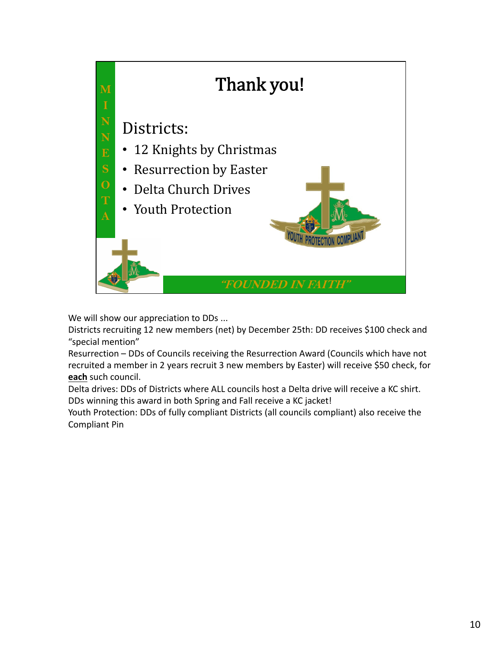

We will show our appreciation to DDs ...

Districts recruiting 12 new members (net) by December 25th: DD receives \$100 check and "special mention"

Resurrection – DDs of Councils receiving the Resurrection Award (Councils which have not recruited a member in 2 years recruit 3 new members by Easter) will receive \$50 check, for **each** such council.

Delta drives: DDs of Districts where ALL councils host a Delta drive will receive a KC shirt. DDs winning this award in both Spring and Fall receive a KC jacket!

Youth Protection: DDs of fully compliant Districts (all councils compliant) also receive the Compliant Pin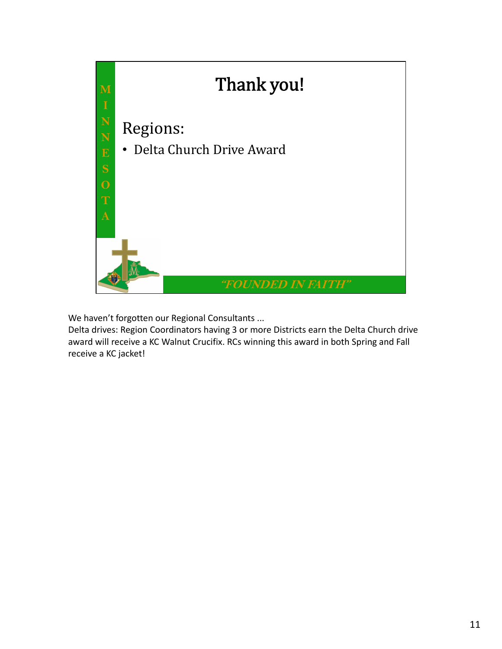

We haven't forgotten our Regional Consultants ...

Delta drives: Region Coordinators having 3 or more Districts earn the Delta Church drive award will receive a KC Walnut Crucifix. RCs winning this award in both Spring and Fall receive a KC jacket!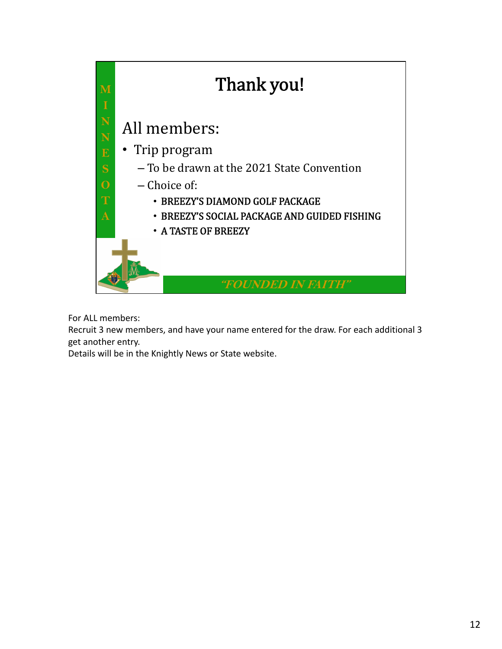

For ALL members:

Recruit 3 new members, and have your name entered for the draw. For each additional 3 get another entry.

Details will be in the Knightly News or State website.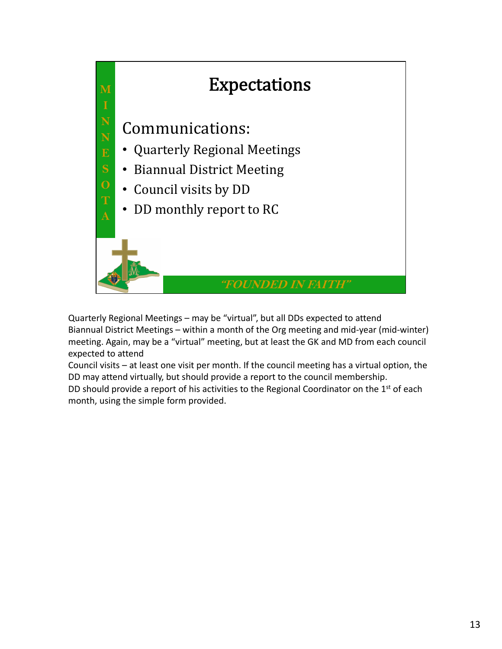

Quarterly Regional Meetings – may be "virtual", but all DDs expected to attend Biannual District Meetings – within a month of the Org meeting and mid‐year (mid‐winter) meeting. Again, may be a "virtual" meeting, but at least the GK and MD from each council expected to attend

Council visits – at least one visit per month. If the council meeting has a virtual option, the DD may attend virtually, but should provide a report to the council membership.

DD should provide a report of his activities to the Regional Coordinator on the  $1<sup>st</sup>$  of each month, using the simple form provided.